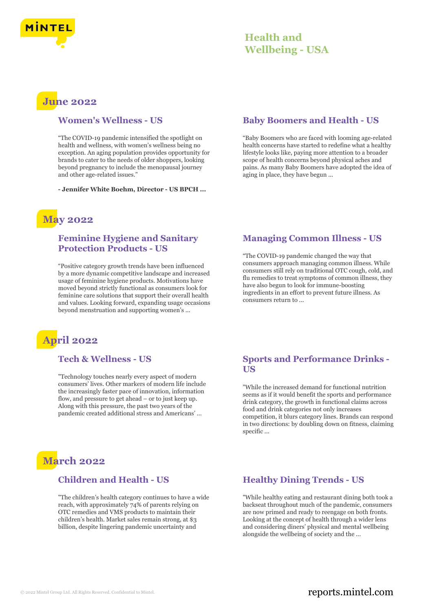

# **Health and Wellbeing - USA**

# **June 2022**

#### **Women's Wellness - US**

"The COVID-19 pandemic intensified the spotlight on health and wellness, with women's wellness being no exception. An aging population provides opportunity for brands to cater to the needs of older shoppers, looking beyond pregnancy to include the menopausal journey and other age-related issues."

**- Jennifer White Boehm, Director - US BPCH ...**

# **May 2022**

## **Feminine Hygiene and Sanitary Protection Products - US**

"Positive category growth trends have been influenced by a more dynamic competitive landscape and increased usage of feminine hygiene products. Motivations have moved beyond strictly functional as consumers look for feminine care solutions that support their overall health and values. Looking forward, expanding usage occasions beyond menstruation and supporting women's ...

# **April 2022**

## **Tech & Wellness - US**

"Technology touches nearly every aspect of modern consumers' lives. Other markers of modern life include the increasingly faster pace of innovation, information flow, and pressure to get ahead – or to just keep up. Along with this pressure, the past two years of the pandemic created additional stress and Americans' ...

# **March 2022**

## **Children and Health - US**

"The children's health category continues to have a wide reach, with approximately 74% of parents relying on OTC remedies and VMS products to maintain their children's health. Market sales remain strong, at \$3 billion, despite lingering pandemic uncertainty and

#### **Baby Boomers and Health - US**

"Baby Boomers who are faced with looming age-related health concerns have started to redefine what a healthy lifestyle looks like, paying more attention to a broader scope of health concerns beyond physical aches and pains. As many Baby Boomers have adopted the idea of aging in place, they have begun ...

## **Managing Common Illness - US**

"The COVID-19 pandemic changed the way that consumers approach managing common illness. While consumers still rely on traditional OTC cough, cold, and flu remedies to treat symptoms of common illness, they have also begun to look for immune-boosting ingredients in an effort to prevent future illness. As consumers return to ...

## **Sports and Performance Drinks - US**

"While the increased demand for functional nutrition seems as if it would benefit the sports and performance drink category, the growth in functional claims across food and drink categories not only increases competition, it blurs category lines. Brands can respond in two directions: by doubling down on fitness, claiming specific ...

## **Healthy Dining Trends - US**

"While healthy eating and restaurant dining both took a backseat throughout much of the pandemic, consumers are now primed and ready to reengage on both fronts. Looking at the concept of health through a wider lens and considering diners' physical and mental wellbeing alongside the wellbeing of society and the ...

# © 2022 Mintel Group Ltd. All Rights Reserved. Confidential to Mintel.  $\blacksquare$  reports.mintel.com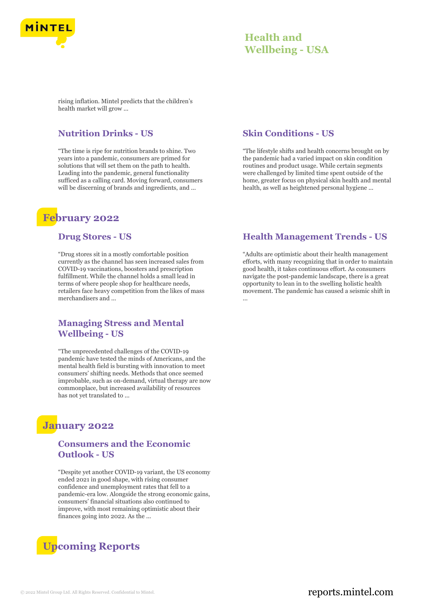

# **Health and Wellbeing - USA**

rising inflation. Mintel predicts that the children's health market will grow ...

## **Nutrition Drinks - US**

"The time is ripe for nutrition brands to shine. Two years into a pandemic, consumers are primed for solutions that will set them on the path to health. Leading into the pandemic, general functionality sufficed as a calling card. Moving forward, consumers will be discerning of brands and ingredients, and ...

# **February 2022**

#### **Drug Stores - US**

"Drug stores sit in a mostly comfortable position currently as the channel has seen increased sales from COVID-19 vaccinations, boosters and prescription fulfillment. While the channel holds a small lead in terms of where people shop for healthcare needs, retailers face heavy competition from the likes of mass merchandisers and ...

## **Managing Stress and Mental Wellbeing - US**

"The unprecedented challenges of the COVID-19 pandemic have tested the minds of Americans, and the mental health field is bursting with innovation to meet consumers' shifting needs. Methods that once seemed improbable, such as on-demand, virtual therapy are now commonplace, but increased availability of resources has not yet translated to ...

# **January 2022**

# **Consumers and the Economic Outlook - US**

"Despite yet another COVID-19 variant, the US economy ended 2021 in good shape, with rising consumer confidence and unemployment rates that fell to a pandemic-era low. Alongside the strong economic gains, consumers' financial situations also continued to improve, with most remaining optimistic about their finances going into 2022. As the ...

# **Upcoming Reports**

#### **Skin Conditions - US**

"The lifestyle shifts and health concerns brought on by the pandemic had a varied impact on skin condition routines and product usage. While certain segments were challenged by limited time spent outside of the home, greater focus on physical skin health and mental health, as well as heightened personal hygiene ...

## **Health Management Trends - US**

"Adults are optimistic about their health management efforts, with many recognizing that in order to maintain good health, it takes continuous effort. As consumers navigate the post-pandemic landscape, there is a great opportunity to lean in to the swelling holistic health movement. The pandemic has caused a seismic shift in ...